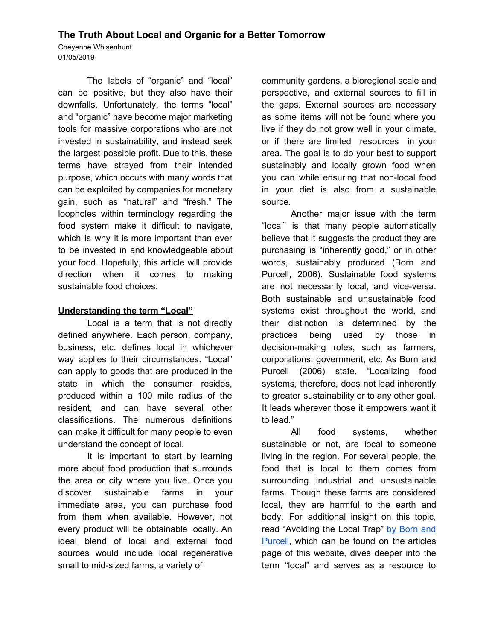# **The Truth About Local and Organic for a Better Tomorrow**

Cheyenne Whisenhunt 01/05/2019

The labels of "organic" and "local" can be positive, but they also have their downfalls. Unfortunately, the terms "local" and "organic" have become major marketing tools for massive corporations who are not invested in sustainability, and instead seek the largest possible profit. Due to this, these terms have strayed from their intended purpose, which occurs with many words that can be exploited by companies for monetary gain, such as "natural" and "fresh." The loopholes within terminology regarding the food system make it difficult to navigate, which is why it is more important than ever to be invested in and knowledgeable about your food. Hopefully, this article will provide direction when it comes to making sustainable food choices.

### **Understanding the term "Local"**

Local is a term that is not directly defined anywhere. Each person, company, business, etc. defines local in whichever way applies to their circumstances. "Local" can apply to goods that are produced in the state in which the consumer resides, produced within a 100 mile radius of the resident, and can have several other classifications. The numerous definitions can make it difficult for many people to even understand the concept of local.

It is important to start by learning more about food production that surrounds the area or city where you live. Once you discover sustainable farms in your immediate area, you can purchase food from them when available. However, not every product will be obtainable locally. An ideal blend of local and external food sources would include local regenerative small to mid-sized farms, a variety of

community gardens, a bioregional scale and perspective, and external sources to fill in the gaps. External sources are necessary as some items will not be found where you live if they do not grow well in your climate, or if there are limited resources in your area. The goal is to do your best to support sustainably and locally grown food when you can while ensuring that non-local food in your diet is also from a sustainable source.

Another major issue with the term "local" is that many people automatically believe that it suggests the product they are purchasing is "inherently good," or in other words, sustainably produced (Born and Purcell, 2006). Sustainable food systems are not necessarily local, and vice-versa. Both sustainable and unsustainable food systems exist throughout the world, and their distinction is determined by the practices being used by those in decision-making roles, such as farmers, corporations, government, etc. As Born and Purcell (2006) state, "Localizing food systems, therefore, does not lead inherently to greater sustainability or to any other goal. It leads wherever those it empowers want it to lead."

All food systems, whether sustainable or not, are local to someone living in the region. For several people, the food that is local to them comes from surrounding industrial and unsustainable farms. Though these farms are considered local, they are harmful to the earth and body. For additional insight on this topic, read "Avoiding the Local Trap" by [Born](https://www.branchingtogether.com/uploads/9/9/5/1/99517240/born_and_purcell_avoiding_the_local_trap.pdf) and [Purcell,](https://www.branchingtogether.com/uploads/9/9/5/1/99517240/born_and_purcell_avoiding_the_local_trap.pdf) which can be found on the articles page of this website, dives deeper into the term "local" and serves as a resource to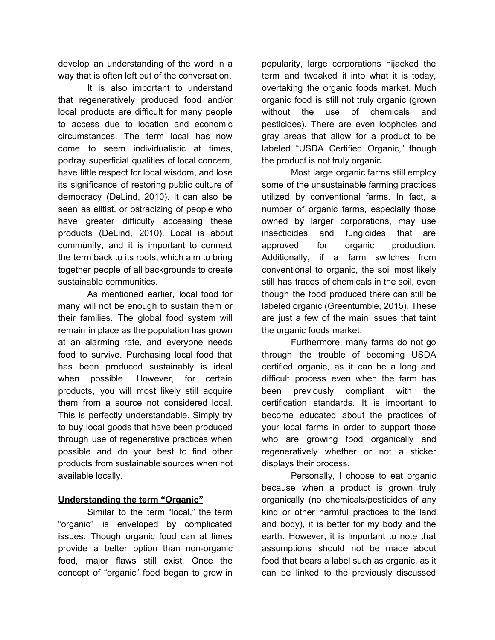develop an understanding of the word in a way that is often left out of the conversation.

It is also important to understand that regeneratively produced food and/or local products are difficult for many people to access due to location and economic circumstances. The term local has now come to seem individualistic at times, portray superficial qualities of local concern, have little respect for local wisdom, and lose its significance of restoring public culture of democracy (DeLind, 2010). It can also be seen as elitist, or ostracizing of people who have greater difficulty accessing these products (DeLind, 2010). Local is about community, and it is important to connect the term back to its roots, which aim to bring together people of all backgrounds to create sustainable communities.

As mentioned earlier, local food for many will not be enough to sustain them or their families. The global food system will remain in place as the population has grown at an alarming rate, and everyone needs food to survive. Purchasing local food that has been produced sustainably is ideal when possible. However, for certain products, you will most likely still acquire them from a source not considered local. This is perfectly understandable. Simply try to buy local goods that have been produced through use of regenerative practices when possible and do your best to find other products from sustainable sources when not available locally.

### **Understanding the term "Organic"**

Similar to the term "local," the term "organic" is enveloped by complicated issues. Though organic food can at times provide a better option than non-organic food, major flaws still exist. Once the concept of "organic" food began to grow in popularity, large corporations hijacked the term and tweaked it into what it is today, overtaking the organic foods market. Much organic food is still not truly organic (grown without the use of chemicals and pesticides). There are even loopholes and gray areas that allow for a product to be labeled "USDA Certified Organic," though the product is not truly organic.

Most large organic farms still employ some of the unsustainable farming practices utilized by conventional farms. In fact, a number of organic farms, especially those owned by larger corporations, may use insecticides and fungicides that are approved for organic production. Additionally, if a farm switches from conventional to organic, the soil most likely still has traces of chemicals in the soil, even though the food produced there can still be labeled organic (Greentumble, 2015). These are just a few of the main issues that taint the organic foods market.

Furthermore, many farms do not go through the trouble of becoming USDA certified organic, as it can be a long and difficult process even when the farm has been previously compliant with the certification standards. It is important to become educated about the practices of your local farms in order to support those who are growing food organically and regeneratively whether or not a sticker displays their process.

Personally, I choose to eat organic because when a product is grown truly organically (no chemicals/pesticides of any kind or other harmful practices to the land and body), it is better for my body and the earth. However, it is important to note that assumptions should not be made about food that bears a label such as organic, as it can be linked to the previously discussed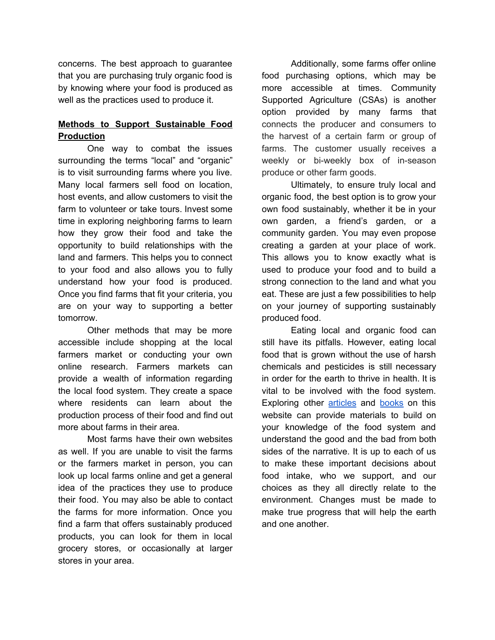concerns. The best approach to guarantee that you are purchasing truly organic food is by knowing where your food is produced as well as the practices used to produce it.

## **Methods to Support Sustainable Food Production**

One way to combat the issues surrounding the terms "local" and "organic" is to visit surrounding farms where you live. Many local farmers sell food on location, host events, and allow customers to visit the farm to volunteer or take tours. Invest some time in exploring neighboring farms to learn how they grow their food and take the opportunity to build relationships with the land and farmers. This helps you to connect to your food and also allows you to fully understand how your food is produced. Once you find farms that fit your criteria, you are on your way to supporting a better tomorrow.

Other methods that may be more accessible include shopping at the local farmers market or conducting your own online research. Farmers markets can provide a wealth of information regarding the local food system. They create a space where residents can learn about the production process of their food and find out more about farms in their area.

Most farms have their own websites as well. If you are unable to visit the farms or the farmers market in person, you can look up local farms online and get a general idea of the practices they use to produce their food. You may also be able to contact the farms for more information. Once you find a farm that offers sustainably produced products, you can look for them in local grocery stores, or occasionally at larger stores in your area.

Additionally, some farms offer online food purchasing options, which may be more accessible at times. Community Supported Agriculture (CSAs) is another option provided by many farms that connects the producer and consumers to the harvest of a certain farm or group of farms. The customer usually receives a weekly or bi-weekly box of in-season produce or other farm goods.

Ultimately, to ensure truly local and organic food, the best option is to grow your own food sustainably, whether it be in your own garden, a friend's garden, or a community garden. You may even propose creating a garden at your place of work. This allows you to know exactly what is used to produce your food and to build a strong connection to the land and what you eat. These are just a few possibilities to help on your journey of supporting sustainably produced food.

Eating local and organic food can still have its pitfalls. However, eating local food that is grown without the use of harsh chemicals and pesticides is still necessary in order for the earth to thrive in health. It is vital to be involved with the food system. Exploring other [articles](https://www.branchingtogether.com/articles.html) and [books](https://www.branchingtogether.com/books.html) on this website can provide materials to build on your knowledge of the food system and understand the good and the bad from both sides of the narrative. It is up to each of us to make these important decisions about food intake, who we support, and our choices as they all directly relate to the environment. Changes must be made to make true progress that will help the earth and one another.